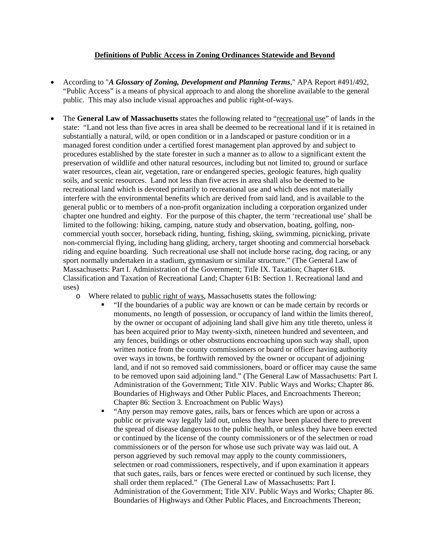## **Definitions of Public Access in Zoning Ordinances Statewide and Beyond**

- According to "*A Glossary of Zoning, Development and Planning Terms*," APA Report #491/492, "Public Access" is a means of physical approach to and along the shoreline available to the general public. This may also include visual approaches and public right-of-ways.
- The **General Law of Massachusetts** states the following related to "recreational use" of lands in the state: "Land not less than five acres in area shall be deemed to be recreational land if it is retained in substantially a natural, wild, or open condition or in a landscaped or pasture condition or in a managed forest condition under a certified forest management plan approved by and subject to procedures established by the state forester in such a manner as to allow to a significant extent the preservation of wildlife and other natural resources, including but not limited to, ground or surface water resources, clean air, vegetation, rare or endangered species, geologic features, high quality soils, and scenic resources. Land not less than five acres in area shall also be deemed to be recreational land which is devoted primarily to recreational use and which does not materially interfere with the environmental benefits which are derived from said land, and is available to the general public or to members of a non-profit organization including a corporation organized under chapter one hundred and eighty. For the purpose of this chapter, the term 'recreational use' shall be limited to the following: hiking, camping, nature study and observation, boating, golfing, noncommercial youth soccer, horseback riding, hunting, fishing, skiing, swimming, picnicking, private non-commercial flying, including hang gliding, archery, target shooting and commercial horseback riding and equine boarding. Such recreational use shall not include horse racing, dog racing, or any sport normally undertaken in a stadium, gymnasium or similar structure." (The General Law of Massachusetts: Part I. Administration of the Government; Title IX. Taxation; Chapter 61B. Classification and Taxation of Recreational Land; Chapter 61B: Section 1. Recreational land and uses)
	- o Where related to public right of ways, Massachusetts states the following:
		- "If the boundaries of a public way are known or can be made certain by records or monuments, no length of possession, or occupancy of land within the limits thereof, by the owner or occupant of adjoining land shall give him any title thereto, unless it has been acquired prior to May twenty-sixth, nineteen hundred and seventeen, and any fences, buildings or other obstructions encroaching upon such way shall, upon written notice from the county commissioners or board or officer having authority over ways in towns, be forthwith removed by the owner or occupant of adjoining land, and if not so removed said commissioners, board or officer may cause the same to be removed upon said adjoining land." (The General Law of Massachusetts: Part I. Administration of the Government; Title XIV. Public Ways and Works; Chapter 86. Boundaries of Highways and Other Public Places, and Encroachments Thereon; Chapter 86: Section 3. Encroachment on Public Ways)
		- "Any person may remove gates, rails, bars or fences which are upon or across a public or private way legally laid out, unless they have been placed there to prevent the spread of disease dangerous to the public health, or unless they have been erected or continued by the license of the county commissioners or of the selectmen or road commissioners or of the person for whose use such private way was laid out. A person aggrieved by such removal may apply to the county commissioners, selectmen or road commissioners, respectively, and if upon examination it appears that such gates, rails, bars or fences were erected or continued by such license, they shall order them replaced." (The General Law of Massachusetts: Part I. Administration of the Government; Title XIV. Public Ways and Works; Chapter 86. Boundaries of Highways and Other Public Places, and Encroachments Thereon;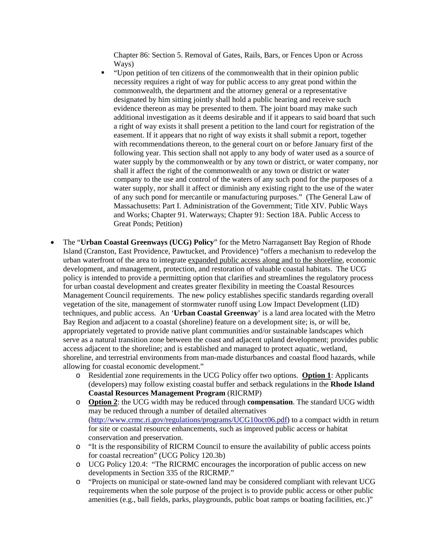Chapter 86: Section 5. Removal of Gates, Rails, Bars, or Fences Upon or Across Ways)

- "Upon petition of ten citizens of the commonwealth that in their opinion public necessity requires a right of way for public access to any great pond within the commonwealth, the department and the attorney general or a representative designated by him sitting jointly shall hold a public hearing and receive such evidence thereon as may be presented to them. The joint board may make such additional investigation as it deems desirable and if it appears to said board that such a right of way exists it shall present a petition to the land court for registration of the easement. If it appears that no right of way exists it shall submit a report, together with recommendations thereon, to the general court on or before January first of the following year. This section shall not apply to any body of water used as a source of water supply by the commonwealth or by any town or district, or water company, nor shall it affect the right of the commonwealth or any town or district or water company to the use and control of the waters of any such pond for the purposes of a water supply, nor shall it affect or diminish any existing right to the use of the water of any such pond for mercantile or manufacturing purposes." (The General Law of Massachusetts: Part I. Administration of the Government; Title XIV. Public Ways and Works; Chapter 91. Waterways; Chapter 91: Section 18A. Public Access to Great Ponds; Petition)
- The "**Urban Coastal Greenways (UCG) Policy**" for the Metro Narragansett Bay Region of Rhode Island (Cranston, East Providence, Pawtucket, and Providence) "offers a mechanism to redevelop the urban waterfront of the area to integrate expanded public access along and to the shoreline, economic development, and management, protection, and restoration of valuable coastal habitats. The UCG policy is intended to provide a permitting option that clarifies and streamlines the regulatory process for urban coastal development and creates greater flexibility in meeting the Coastal Resources Management Council requirements. The new policy establishes specific standards regarding overall vegetation of the site, management of stormwater runoff using Low Impact Development (LID) techniques, and public access. An '**Urban Coastal Greenway**' is a land area located with the Metro Bay Region and adjacent to a coastal (shoreline) feature on a development site; is, or will be, appropriately vegetated to provide native plant communities and/or sustainable landscapes which serve as a natural transition zone between the coast and adjacent upland development; provides public access adjacent to the shoreline; and is established and managed to protect aquatic, wetland, shoreline, and terrestrial environments from man-made disturbances and coastal flood hazards, while allowing for coastal economic development."
	- o Residential zone requirements in the UCG Policy offer two options. **Option 1**: Applicants (developers) may follow existing coastal buffer and setback regulations in the **Rhode Island Coastal Resources Management Program** (RICRMP)
	- o **Option 2**: the UCG width may be reduced through **compensation**. The standard UCG width may be reduced through a number of detailed alternatives (http://www.crmc.ri.gov/regulations/programs/UCG10oct06.pdf) to a compact width in return for site or coastal resource enhancements, such as improved public access or habitat conservation and preservation.
	- o "It is the responsibility of RICRM Council to ensure the availability of public access points for coastal recreation" (UCG Policy 120.3b)
	- o UCG Policy 120.4: "The RICRMC encourages the incorporation of public access on new developments in Section 335 of the RICRMP."
	- o "Projects on municipal or state-owned land may be considered compliant with relevant UCG requirements when the sole purpose of the project is to provide public access or other public amenities (e.g., ball fields, parks, playgrounds, public boat ramps or boating facilities, etc.)"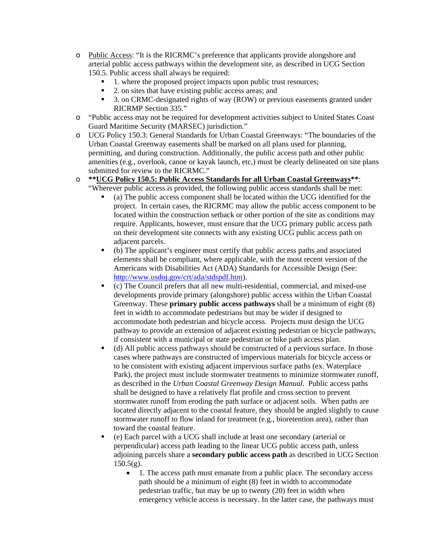- o Public Access: "It is the RICRMC's preference that applicants provide alongshore and arterial public access pathways within the development site, as described in UCG Section 150.5. Public access shall always be required:
	- 1. where the proposed project impacts upon public trust resources;
	- 2. on sites that have existing public access areas; and
	- 3. on CRMC-designated rights of way (ROW) or previous easements granted under RICRMP Section 335."
- o "Public access may not be required for development activities subject to United States Coast Guard Maritime Security (MARSEC) jurisdiction."
- o UCG Policy 150.3: General Standards for Urban Coastal Greenways: "The boundaries of the Urban Coastal Greenway easements shall be marked on all plans used for planning, permitting, and during construction. Additionally, the public access path and other public amenities (e.g., overlook, canoe or kayak launch, etc,) must be clearly delineated on site plans submitted for review to the RICRMC."
- o **\*\*UCG Policy 150.5: Public Access Standards for all Urban Coastal Greenways\*\***: "Wherever public access is provided, the following public access standards shall be met:
	- (a) The public access component shall be located within the UCG identified for the project.In certain cases, the RICRMC may allow the public access component to be located within the construction setback or other portion of the site as conditions may require. Applicants, however, must ensure that the UCG primary public access path on their development site connects with any existing UCG public access path on adjacent parcels.
	- (b) The applicant's engineer must certify that public access paths and associated elements shall be compliant, where applicable, with the most recent version of the Americans with Disabilities Act (ADA) Standards for Accessible Design (See: http://www.usdoj.gov/crt/ada/stdspdf.htm).
	- (c) The Council prefers that all new multi-residential, commercial, and mixed-use developments provide primary (alongshore) public access within the Urban Coastal Greenway. These **primary public access pathways** shall be a minimum of eight (8) feet in width to accommodate pedestrians but may be wider if designed to accommodate both pedestrian and bicycle access. Projects must design the UCG pathway to provide an extension of adjacent existing pedestrian or bicycle pathways, if consistent with a municipal or state pedestrian or bike path access plan.
	- (d) All public access pathways should be constructed of a pervious surface. In those cases where pathways are constructed of impervious materials for bicycle access or to be consistent with existing adjacent impervious surface paths (ex. Waterplace Park), the project must include stormwater treatments to minimize stormwater runoff, as described in the *Urban Coastal Greenway Design Manual*. Public access paths shall be designed to have a relatively flat profile and cross section to prevent stormwater runoff from eroding the path surface or adjacent soils. When paths are located directly adjacent to the coastal feature, they should be angled slightly to cause stormwater runoff to flow inland for treatment (e.g., bioretention area), rather than toward the coastal feature.
	- (e) Each parcel with a UCG shall include at least one secondary (arterial or perpendicular) access path leading to the linear UCG public access path, unless adjoining parcels share a **secondary public access path** as described in UCG Section  $150.5(g)$ .
		- 1. The access path must emanate from a public place. The secondary access path should be a minimum of eight (8) feet in width to accommodate pedestrian traffic, but may be up to twenty (20) feet in width when emergency vehicle access is necessary. In the latter case, the pathways must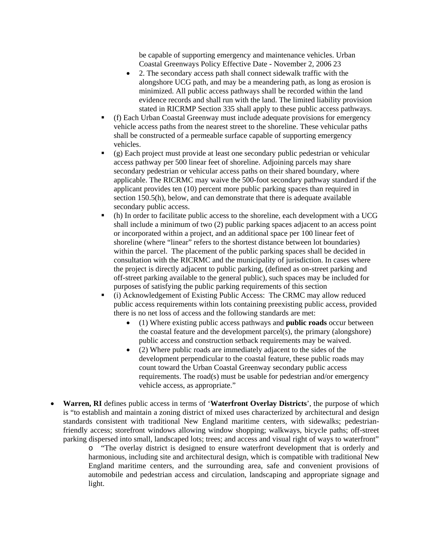be capable of supporting emergency and maintenance vehicles. Urban Coastal Greenways Policy Effective Date - November 2, 2006 23

- 2. The secondary access path shall connect sidewalk traffic with the alongshore UCG path, and may be a meandering path, as long as erosion is minimized. All public access pathways shall be recorded within the land evidence records and shall run with the land. The limited liability provision stated in RICRMP Section 335 shall apply to these public access pathways.
- (f) Each Urban Coastal Greenway must include adequate provisions for emergency vehicle access paths from the nearest street to the shoreline. These vehicular paths shall be constructed of a permeable surface capable of supporting emergency vehicles.
- (g) Each project must provide at least one secondary public pedestrian or vehicular access pathway per 500 linear feet of shoreline. Adjoining parcels may share secondary pedestrian or vehicular access paths on their shared boundary, where applicable. The RICRMC may waive the 500-foot secondary pathway standard if the applicant provides ten (10) percent more public parking spaces than required in section 150.5(h), below, and can demonstrate that there is adequate available secondary public access.
- (h) In order to facilitate public access to the shoreline, each development with a UCG shall include a minimum of two (2) public parking spaces adjacent to an access point or incorporated within a project, and an additional space per 100 linear feet of shoreline (where "linear" refers to the shortest distance between lot boundaries) within the parcel. The placement of the public parking spaces shall be decided in consultation with the RICRMC and the municipality of jurisdiction. In cases where the project is directly adjacent to public parking, (defined as on-street parking and off-street parking available to the general public), such spaces may be included for purposes of satisfying the public parking requirements of this section
- (i) Acknowledgement of Existing Public Access: The CRMC may allow reduced public access requirements within lots containing preexisting public access, provided there is no net loss of access and the following standards are met:
	- (1) Where existing public access pathways and **public roads** occur between the coastal feature and the development parcel(s), the primary (alongshore) public access and construction setback requirements may be waived.
	- (2) Where public roads are immediately adjacent to the sides of the development perpendicular to the coastal feature, these public roads may count toward the Urban Coastal Greenway secondary public access requirements. The road(s) must be usable for pedestrian and/or emergency vehicle access, as appropriate."
- **Warren, RI** defines public access in terms of '**Waterfront Overlay Districts**', the purpose of which is "to establish and maintain a zoning district of mixed uses characterized by architectural and design standards consistent with traditional New England maritime centers, with sidewalks; pedestrianfriendly access; storefront windows allowing window shopping; walkways, bicycle paths; off-street parking dispersed into small, landscaped lots; trees; and access and visual right of ways to waterfront"
	- o "The overlay district is designed to ensure waterfront development that is orderly and harmonious, including site and architectural design, which is compatible with traditional New England maritime centers, and the surrounding area, safe and convenient provisions of automobile and pedestrian access and circulation, landscaping and appropriate signage and light.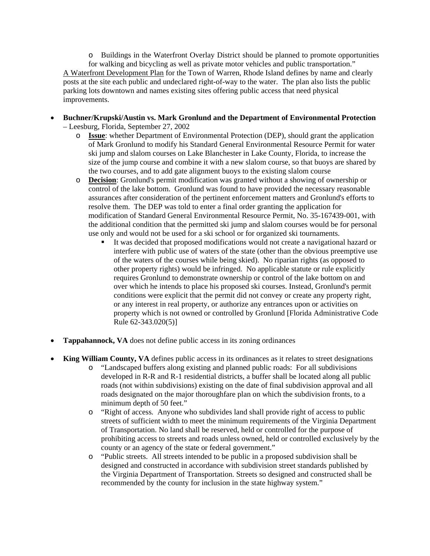o Buildings in the Waterfront Overlay District should be planned to promote opportunities for walking and bicycling as well as private motor vehicles and public transportation." A Waterfront Development Plan for the Town of Warren, Rhode Island defines by name and clearly posts at the site each public and undeclared right-of-way to the water. The plan also lists the public parking lots downtown and names existing sites offering public access that need physical improvements.

- **Buchner/Krupski/Austin vs. Mark Gronlund and the Department of Environmental Protection** – Leesburg, Florida, September 27, 2002
	- o **Issue**: whether Department of Environmental Protection (DEP), should grant the application of Mark Gronlund to modify his Standard General Environmental Resource Permit for water ski jump and slalom courses on Lake Blanchester in Lake County, Florida, to increase the size of the jump course and combine it with a new slalom course, so that buoys are shared by the two courses, and to add gate alignment buoys to the existing slalom course
	- o **Decision**: Gronlund's permit modification was granted without a showing of ownership or control of the lake bottom. Gronlund was found to have provided the necessary reasonable assurances after consideration of the pertinent enforcement matters and Gronlund's efforts to resolve them. The DEP was told to enter a final order granting the application for modification of Standard General Environmental Resource Permit, No. 35-167439-001, with the additional condition that the permitted ski jump and slalom courses would be for personal use only and would not be used for a ski school or for organized ski tournaments.
		- It was decided that proposed modifications would not create a navigational hazard or interfere with public use of waters of the state (other than the obvious preemptive use of the waters of the courses while being skied). No riparian rights (as opposed to other property rights) would be infringed. No applicable statute or rule explicitly requires Gronlund to demonstrate ownership or control of the lake bottom on and over which he intends to place his proposed ski courses. Instead, Gronlund's permit conditions were explicit that the permit did not convey or create any property right, or any interest in real property, or authorize any entrances upon or activities on property which is not owned or controlled by Gronlund [Florida Administrative Code Rule 62-343.020(5)]
- **Tappahannock, VA** does not define public access in its zoning ordinances
- **King William County, VA** defines public access in its ordinances as it relates to street designations
	- o "Landscaped buffers along existing and planned public roads: For all subdivisions developed in R-R and R-1 residential districts, a buffer shall be located along all public roads (not within subdivisions) existing on the date of final subdivision approval and all roads designated on the major thoroughfare plan on which the subdivision fronts, to a minimum depth of 50 feet."
	- o "Right of access*.* Anyone who subdivides land shall provide right of access to public streets of sufficient width to meet the minimum requirements of the Virginia Department of Transportation. No land shall be reserved, held or controlled for the purpose of prohibiting access to streets and roads unless owned, held or controlled exclusively by the county or an agency of the state or federal government."
	- o "Public streets. All streets intended to be public in a proposed subdivision shall be designed and constructed in accordance with subdivision street standards published by the Virginia Department of Transportation. Streets so designed and constructed shall be recommended by the county for inclusion in the state highway system."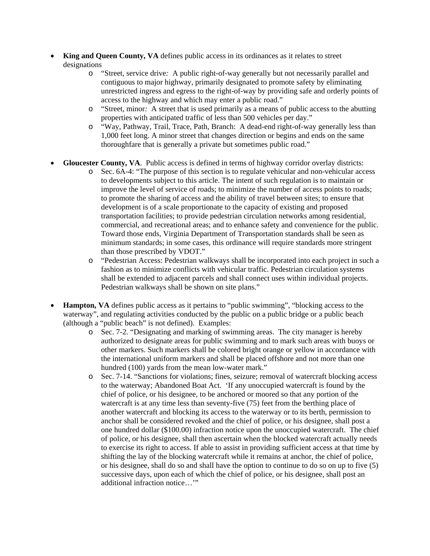- **King and Queen County, VA** defines public access in its ordinances as it relates to street designations
	- o "Street, service drive*:* A public right-of-way generally but not necessarily parallel and contiguous to major highway, primarily designated to promote safety by eliminating unrestricted ingress and egress to the right-of-way by providing safe and orderly points of access to the highway and which may enter a public road."
	- o "Street, minor*:* A street that is used primarily as a means of public access to the abutting properties with anticipated traffic of less than 500 vehicles per day."
	- o "Way, Pathway, Trail, Trace, Path, Branch: A dead-end right-of-way generally less than 1,000 feet long. A minor street that changes direction or begins and ends on the same thoroughfare that is generally a private but sometimes public road."
- **Gloucester County, VA**. Public access is defined in terms of highway corridor overlay districts:
	- o Sec. 6A-4: "The purpose of this section is to regulate vehicular and non-vehicular access to developments subject to this article. The intent of such regulation is to maintain or improve the level of service of roads; to minimize the number of access points to roads; to promote the sharing of access and the ability of travel between sites; to ensure that development is of a scale proportionate to the capacity of existing and proposed transportation facilities; to provide pedestrian circulation networks among residential, commercial, and recreational areas; and to enhance safety and convenience for the public. Toward those ends, Virginia Department of Transportation standards shall be seen as minimum standards; in some cases, this ordinance will require standards more stringent than those prescribed by VDOT."
	- o "Pedestrian Access: Pedestrian walkways shall be incorporated into each project in such a fashion as to minimize conflicts with vehicular traffic. Pedestrian circulation systems shall be extended to adjacent parcels and shall connect uses within individual projects. Pedestrian walkways shall be shown on site plans."
- **Hampton, VA** defines public access as it pertains to "public swimming", "blocking access to the waterway", and regulating activities conducted by the public on a public bridge or a public beach (although a "public beach" is not defined). Examples:
	- o Sec. 7-2. "Designating and marking of swimming areas. The city manager is hereby authorized to designate areas for public swimming and to mark such areas with buoys or other markers. Such markers shall be colored bright orange or yellow in accordance with the international uniform markers and shall be placed offshore and not more than one hundred (100) yards from the mean low-water mark."
	- o Sec. 7-14. "Sanctions for violations; fines, seizure; removal of watercraft blocking access to the waterway; Abandoned Boat Act. 'If any unoccupied watercraft is found by the chief of police, or his designee, to be anchored or moored so that any portion of the watercraft is at any time less than seventy-five (75) feet from the berthing place of another watercraft and blocking its access to the waterway or to its berth, permission to anchor shall be considered revoked and the chief of police, or his designee, shall post a one hundred dollar (\$100.00) infraction notice upon the unoccupied watercraft. The chief of police, or his designee, shall then ascertain when the blocked watercraft actually needs to exercise its right to access. If able to assist in providing sufficient access at that time by shifting the lay of the blocking watercraft while it remains at anchor, the chief of police, or his designee, shall do so and shall have the option to continue to do so on up to five (5) successive days, upon each of which the chief of police, or his designee, shall post an additional infraction notice…'"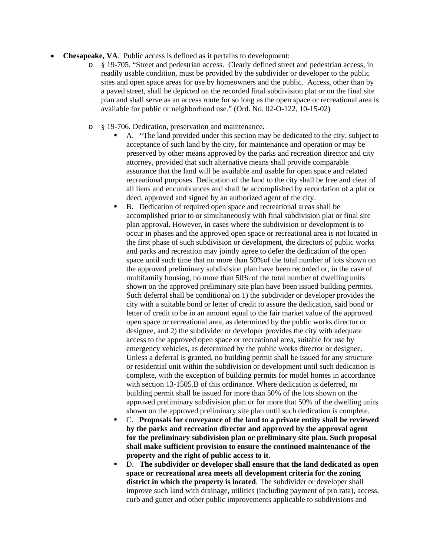- **Chesapeake, VA**. Public access is defined as it pertains to development:
	- o § 19-705. "Street and pedestrian access. Clearly defined street and pedestrian access, in readily usable condition, must be provided by the subdivider or developer to the public sites and open space areas for use by homeowners and the public. Access, other than by a paved street, shall be depicted on the recorded final subdivision plat or on the final site plan and shall serve as an access route for so long as the open space or recreational area is available for public or neighborhood use." (Ord. No. 02-O-122, 10-15-02)
	- o § 19-706. Dedication, preservation and maintenance.
		- A. "The land provided under this section may be dedicated to the city, subject to acceptance of such land by the city, for maintenance and operation or may be preserved by other means approved by the parks and recreation director and city attorney, provided that such alternative means shall provide comparable assurance that the land will be available and usable for open space and related recreational purposes. Dedication of the land to the city shall be free and clear of all liens and encumbrances and shall be accomplished by recordation of a plat or deed, approved and signed by an authorized agent of the city.
		- B. Dedication of required open space and recreational areas shall be accomplished prior to or simultaneously with final subdivision plat or final site plan approval. However, in cases where the subdivision or development is to occur in phases and the approved open space or recreational area is not located in the first phase of such subdivision or development, the directors of public works and parks and recreation may jointly agree to defer the dedication of the open space until such time that no more than 50%of the total number of lots shown on the approved preliminary subdivision plan have been recorded or, in the case of multifamily housing, no more than 50% of the total number of dwelling units shown on the approved preliminary site plan have been issued building permits. Such deferral shall be conditional on 1) the subdivider or developer provides the city with a suitable bond or letter of credit to assure the dedication, said bond or letter of credit to be in an amount equal to the fair market value of the approved open space or recreational area, as determined by the public works director or designee, and 2) the subdivider or developer provides the city with adequate access to the approved open space or recreational area, suitable for use by emergency vehicles, as determined by the public works director or designee. Unless a deferral is granted, no building permit shall be issued for any structure or residential unit within the subdivision or development until such dedication is complete, with the exception of building permits for model homes in accordance with section 13-1505.B of this ordinance. Where dedication is deferred, no building permit shall be issued for more than 50% of the lots shown on the approved preliminary subdivision plan or for more that 50% of the dwelling units shown on the approved preliminary site plan until such dedication is complete.
		- C. **Proposals for conveyance of the land to a private entity shall be reviewed by the parks and recreation director and approved by the approval agent for the preliminary subdivision plan or preliminary site plan. Such proposal shall make sufficient provision to ensure the continued maintenance of the property and the right of public access to it.**
		- D. **The subdivider or developer shall ensure that the land dedicated as open space or recreational area meets all development criteria for the zoning district in which the property is located**. The subdivider or developer shall improve such land with drainage, utilities (including payment of pro rata), access, curb and gutter and other public improvements applicable to subdivisions and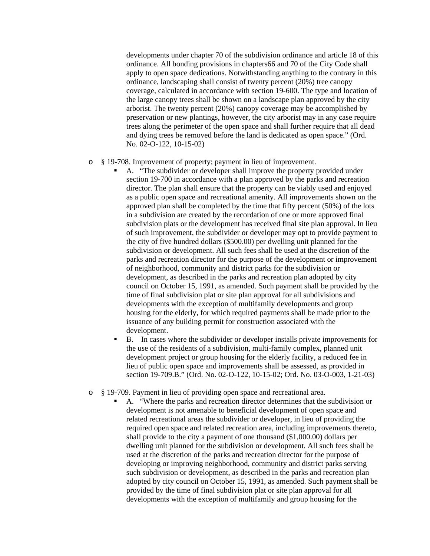developments under chapter 70 of the subdivision ordinance and article 18 of this ordinance. All bonding provisions in chapters66 and 70 of the City Code shall apply to open space dedications. Notwithstanding anything to the contrary in this ordinance, landscaping shall consist of twenty percent (20%) tree canopy coverage, calculated in accordance with section 19-600. The type and location of the large canopy trees shall be shown on a landscape plan approved by the city arborist. The twenty percent (20%) canopy coverage may be accomplished by preservation or new plantings, however, the city arborist may in any case require trees along the perimeter of the open space and shall further require that all dead and dying trees be removed before the land is dedicated as open space." (Ord. No. 02-O-122, 10-15-02)

## o § 19-708. Improvement of property; payment in lieu of improvement.

- A. "The subdivider or developer shall improve the property provided under section 19-700 in accordance with a plan approved by the parks and recreation director. The plan shall ensure that the property can be viably used and enjoyed as a public open space and recreational amenity. All improvements shown on the approved plan shall be completed by the time that fifty percent (50%) of the lots in a subdivision are created by the recordation of one or more approved final subdivision plats or the development has received final site plan approval. In lieu of such improvement, the subdivider or developer may opt to provide payment to the city of five hundred dollars (\$500.00) per dwelling unit planned for the subdivision or development. All such fees shall be used at the discretion of the parks and recreation director for the purpose of the development or improvement of neighborhood, community and district parks for the subdivision or development, as described in the parks and recreation plan adopted by city council on October 15, 1991, as amended. Such payment shall be provided by the time of final subdivision plat or site plan approval for all subdivisions and developments with the exception of multifamily developments and group housing for the elderly, for which required payments shall be made prior to the issuance of any building permit for construction associated with the development.
- B. In cases where the subdivider or developer installs private improvements for the use of the residents of a subdivision, multi-family complex, planned unit development project or group housing for the elderly facility, a reduced fee in lieu of public open space and improvements shall be assessed, as provided in section 19-709.B." (Ord. No. 02-O-122, 10-15-02; Ord. No. 03-O-003, 1-21-03)

## o § 19-709. Payment in lieu of providing open space and recreational area.

 A. "Where the parks and recreation director determines that the subdivision or development is not amenable to beneficial development of open space and related recreational areas the subdivider or developer, in lieu of providing the required open space and related recreation area, including improvements thereto, shall provide to the city a payment of one thousand (\$1,000.00) dollars per dwelling unit planned for the subdivision or development. All such fees shall be used at the discretion of the parks and recreation director for the purpose of developing or improving neighborhood, community and district parks serving such subdivision or development, as described in the parks and recreation plan adopted by city council on October 15, 1991, as amended. Such payment shall be provided by the time of final subdivision plat or site plan approval for all developments with the exception of multifamily and group housing for the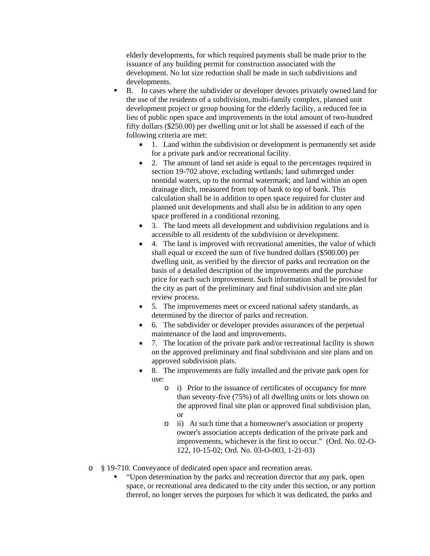elderly developments, for which required payments shall be made prior to the issuance of any building permit for construction associated with the development. No lot size reduction shall be made in such subdivisions and developments.

- B. In cases where the subdivider or developer devotes privately owned land for the use of the residents of a subdivision, multi-family complex, planned unit development project or group housing for the elderly facility, a reduced fee in lieu of public open space and improvements in the total amount of two-hundred fifty dollars (\$250.00) per dwelling unit or lot shall be assessed if each of the following criteria are met:
	- 1. Land within the subdivision or development is permanently set aside for a private park and/or recreational facility.
	- 2. The amount of land set aside is equal to the percentages required in section 19-702 above, excluding wetlands; land submerged under nontidal waters, up to the normal watermark; and land within an open drainage ditch, measured from top of bank to top of bank. This calculation shall be in addition to open space required for cluster and planned unit developments and shall also be in addition to any open space proffered in a conditional rezoning.
	- 3. The land meets all development and subdivision regulations and is accessible to all residents of the subdivision or development.
	- 4. The land is improved with recreational amenities, the value of which shall equal or exceed the sum of five hundred dollars (\$500.00) per dwelling unit, as verified by the director of parks and recreation on the basis of a detailed description of the improvements and the purchase price for each such improvement. Such information shall be provided for the city as part of the preliminary and final subdivision and site plan review process.
	- 5. The improvements meet or exceed national safety standards, as determined by the director of parks and recreation.
	- 6. The subdivider or developer provides assurances of the perpetual maintenance of the land and improvements.
	- 7. The location of the private park and/or recreational facility is shown on the approved preliminary and final subdivision and site plans and on approved subdivision plats.
	- 8. The improvements are fully installed and the private park open for use:
		- o i) Prior to the issuance of certificates of occupancy for more than seventy-five (75%) of all dwelling units or lots shown on the approved final site plan or approved final subdivision plan, or
		- o ii) At such time that a homeowner's association or property owner's association accepts dedication of the private park and improvements, whichever is the first to occur." (Ord. No. 02-O-122, 10-15-02; Ord. No. 03-O-003, 1-21-03)
- o § 19-710. Conveyance of dedicated open space and recreation areas.
	- "Upon determination by the parks and recreation director that any park, open space, or recreational area dedicated to the city under this section, or any portion thereof, no longer serves the purposes for which it was dedicated, the parks and